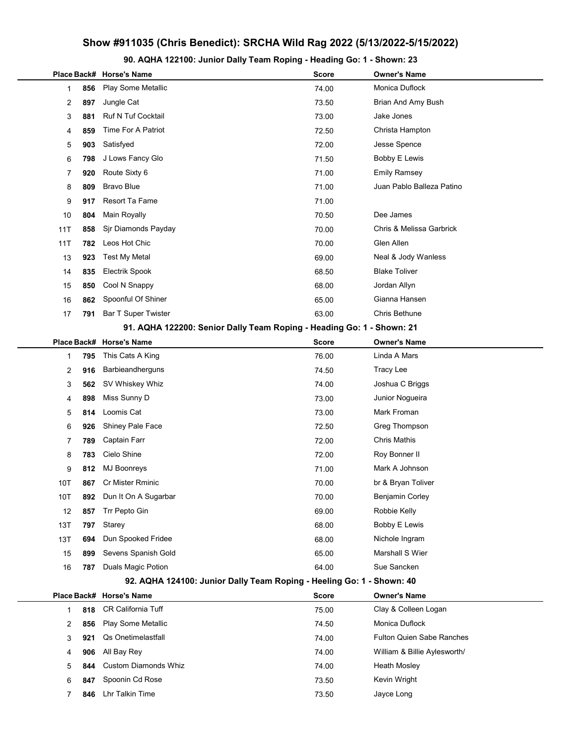## Show #911035 (Chris Benedict): SRCHA Wild Rag 2022 (5/13/2022-5/15/2022)

90. AQHA 122100: Junior Dally Team Roping - Heading Go: 1 - Shown: 23

|                                                                       |     | Place Back# Horse's Name                                              | <b>Score</b> | <b>Owner's Name</b>              |  |  |
|-----------------------------------------------------------------------|-----|-----------------------------------------------------------------------|--------------|----------------------------------|--|--|
| 1                                                                     | 856 | Play Some Metallic                                                    | 74.00        | Monica Duflock                   |  |  |
| 2                                                                     | 897 | Jungle Cat                                                            | 73.50        | Brian And Amy Bush               |  |  |
| 3                                                                     | 881 | <b>Ruf N Tuf Cocktail</b>                                             | 73.00        | Jake Jones                       |  |  |
| 4                                                                     | 859 | Time For A Patriot                                                    | 72.50        | Christa Hampton                  |  |  |
| 5                                                                     | 903 | Satisfyed                                                             | 72.00        | Jesse Spence                     |  |  |
| 6                                                                     | 798 | J Lows Fancy Glo                                                      | 71.50        | <b>Bobby E Lewis</b>             |  |  |
| 7                                                                     | 920 | Route Sixty 6                                                         | 71.00        | <b>Emily Ramsey</b>              |  |  |
| 8                                                                     | 809 | <b>Bravo Blue</b>                                                     | 71.00        | Juan Pablo Balleza Patino        |  |  |
| 9                                                                     | 917 | Resort Ta Fame                                                        | 71.00        |                                  |  |  |
| 10                                                                    | 804 | Main Royally                                                          | 70.50        | Dee James                        |  |  |
| 11T                                                                   | 858 | Sjr Diamonds Payday                                                   | 70.00        | Chris & Melissa Garbrick         |  |  |
| 11T                                                                   | 782 | Leos Hot Chic                                                         | 70.00        | Glen Allen                       |  |  |
| 13                                                                    | 923 | <b>Test My Metal</b>                                                  | 69.00        | Neal & Jody Wanless              |  |  |
| 14                                                                    | 835 | <b>Electrik Spook</b>                                                 | 68.50        | <b>Blake Toliver</b>             |  |  |
| 15                                                                    | 850 | Cool N Snappy                                                         | 68.00        | Jordan Allyn                     |  |  |
| 16                                                                    | 862 | Spoonful Of Shiner                                                    | 65.00        | Gianna Hansen                    |  |  |
| 17                                                                    | 791 | <b>Bar T Super Twister</b>                                            | 63.00        | Chris Bethune                    |  |  |
|                                                                       |     | 91. AQHA 122200: Senior Dally Team Roping - Heading Go: 1 - Shown: 21 |              |                                  |  |  |
|                                                                       |     | Place Back# Horse's Name                                              | <b>Score</b> | <b>Owner's Name</b>              |  |  |
| 1                                                                     | 795 | This Cats A King                                                      | 76.00        | Linda A Mars                     |  |  |
| 2                                                                     | 916 | Barbieandherguns                                                      | 74.50        | <b>Tracy Lee</b>                 |  |  |
| 3                                                                     | 562 | SV Whiskey Whiz                                                       | 74.00        | Joshua C Briggs                  |  |  |
| 4                                                                     | 898 | Miss Sunny D                                                          | 73.00        | Junior Nogueira                  |  |  |
| 5                                                                     | 814 | Loomis Cat                                                            | 73.00        | Mark Froman                      |  |  |
| 6                                                                     | 926 | Shiney Pale Face                                                      | 72.50        | Greg Thompson                    |  |  |
| 7                                                                     | 789 | Captain Farr                                                          | 72.00        | Chris Mathis                     |  |  |
| 8                                                                     | 783 | Cielo Shine                                                           | 72.00        | Roy Bonner II                    |  |  |
| 9                                                                     | 812 | <b>MJ Boonreys</b>                                                    | 71.00        | Mark A Johnson                   |  |  |
| 10T                                                                   | 867 | Cr Mister Rminic                                                      | 70.00        | br & Bryan Toliver               |  |  |
| 10T                                                                   | 892 | Dun It On A Sugarbar                                                  | 70.00        | Benjamin Corley                  |  |  |
| 12                                                                    | 857 | Trr Pepto Gin                                                         | 69.00        | Robbie Kelly                     |  |  |
| 13T                                                                   | 797 | Starey                                                                | 68.00        | <b>Bobby E Lewis</b>             |  |  |
| 13T                                                                   | 694 | Dun Spooked Fridee                                                    | 68.00        | Nichole Ingram                   |  |  |
| 15                                                                    | 899 | Sevens Spanish Gold                                                   | 65.00        | Marshall S Wier                  |  |  |
| 16                                                                    | 787 | <b>Duals Magic Potion</b>                                             | 64.00        | Sue Sancken                      |  |  |
| 92. AQHA 124100: Junior Dally Team Roping - Heeling Go: 1 - Shown: 40 |     |                                                                       |              |                                  |  |  |
|                                                                       |     | Place Back# Horse's Name                                              | <b>Score</b> | <b>Owner's Name</b>              |  |  |
| 1                                                                     | 818 | <b>CR California Tuff</b>                                             | 75.00        | Clay & Colleen Logan             |  |  |
| 2                                                                     | 856 | Play Some Metallic                                                    | 74.50        | Monica Duflock                   |  |  |
| 3                                                                     | 921 | Qs Onetimelastfall                                                    | 74.00        | <b>Fulton Quien Sabe Ranches</b> |  |  |
| 4                                                                     | 906 | All Bay Rey                                                           | 74.00        | William & Billie Aylesworth/     |  |  |
| 5                                                                     | 844 | <b>Custom Diamonds Whiz</b>                                           | 74.00        | <b>Heath Mosley</b>              |  |  |
| 6                                                                     | 847 | Spoonin Cd Rose                                                       | 73.50        | Kevin Wright                     |  |  |
| 7                                                                     | 846 | Lhr Talkin Time                                                       | 73.50        | Jayce Long                       |  |  |
|                                                                       |     |                                                                       |              |                                  |  |  |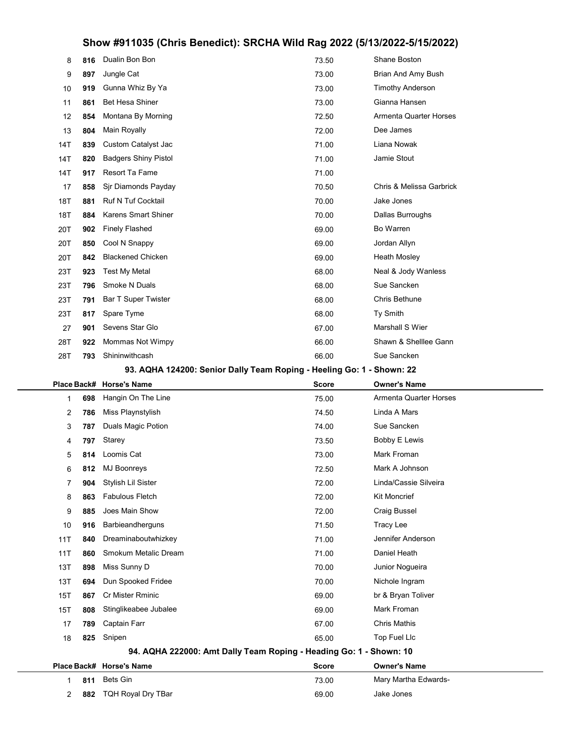## Show #911035 (Chris Benedict): SRCHA Wild Rag 2022 (5/13/2022-5/15/2022)

| 8                                                                     | 816 | Dualin Bon Bon                                                     | 73.50        | Shane Boston                  |  |  |  |
|-----------------------------------------------------------------------|-----|--------------------------------------------------------------------|--------------|-------------------------------|--|--|--|
| 9                                                                     | 897 | Jungle Cat                                                         | 73.00        | Brian And Amy Bush            |  |  |  |
| 10                                                                    | 919 | Gunna Whiz By Ya                                                   | 73.00        | <b>Timothy Anderson</b>       |  |  |  |
| 11                                                                    | 861 | <b>Bet Hesa Shiner</b>                                             | 73.00        | Gianna Hansen                 |  |  |  |
| 12                                                                    | 854 | Montana By Morning                                                 | 72.50        | <b>Armenta Quarter Horses</b> |  |  |  |
| 13                                                                    | 804 | Main Royally                                                       | 72.00        | Dee James                     |  |  |  |
| 14T                                                                   | 839 | Custom Catalyst Jac                                                | 71.00        | Liana Nowak                   |  |  |  |
| 14T                                                                   | 820 | <b>Badgers Shiny Pistol</b>                                        | 71.00        | Jamie Stout                   |  |  |  |
| 14T                                                                   | 917 | Resort Ta Fame                                                     | 71.00        |                               |  |  |  |
| 17                                                                    | 858 | Sjr Diamonds Payday                                                | 70.50        | Chris & Melissa Garbrick      |  |  |  |
| 18T                                                                   | 881 | <b>Ruf N Tuf Cocktail</b>                                          | 70.00        | Jake Jones                    |  |  |  |
| 18T                                                                   | 884 | <b>Karens Smart Shiner</b>                                         | 70.00        | Dallas Burroughs              |  |  |  |
| 20T                                                                   | 902 | <b>Finely Flashed</b>                                              | 69.00        | Bo Warren                     |  |  |  |
| 20T                                                                   | 850 | Cool N Snappy                                                      | 69.00        | Jordan Allyn                  |  |  |  |
| 20T                                                                   | 842 | <b>Blackened Chicken</b>                                           | 69.00        | Heath Mosley                  |  |  |  |
| 23T                                                                   | 923 | <b>Test My Metal</b>                                               | 68.00        | Neal & Jody Wanless           |  |  |  |
| 23T                                                                   | 796 | Smoke N Duals                                                      | 68.00        | Sue Sancken                   |  |  |  |
| 23T                                                                   | 791 | <b>Bar T Super Twister</b>                                         | 68.00        | Chris Bethune                 |  |  |  |
| 23T                                                                   | 817 | Spare Tyme                                                         | 68.00        | Ty Smith                      |  |  |  |
| 27                                                                    | 901 | Sevens Star Glo                                                    | 67.00        | <b>Marshall S Wier</b>        |  |  |  |
| 28T                                                                   | 922 | Mommas Not Wimpy                                                   | 66.00        | Shawn & Shelllee Gann         |  |  |  |
| 28T                                                                   | 793 | Shininwithcash                                                     | 66.00        | Sue Sancken                   |  |  |  |
| 93. AQHA 124200: Senior Dally Team Roping - Heeling Go: 1 - Shown: 22 |     |                                                                    |              |                               |  |  |  |
|                                                                       |     |                                                                    |              |                               |  |  |  |
| Place Back#                                                           |     | <b>Horse's Name</b>                                                | Score        | <b>Owner's Name</b>           |  |  |  |
| 1                                                                     | 698 | Hangin On The Line                                                 | 75.00        | <b>Armenta Quarter Horses</b> |  |  |  |
| 2                                                                     | 786 | Miss Playnstylish                                                  | 74.50        | Linda A Mars                  |  |  |  |
| 3                                                                     | 787 | Duals Magic Potion                                                 | 74.00        | Sue Sancken                   |  |  |  |
| 4                                                                     | 797 | Starey                                                             | 73.50        | Bobby E Lewis                 |  |  |  |
| 5                                                                     | 814 | Loomis Cat                                                         | 73.00        | Mark Froman                   |  |  |  |
| 6                                                                     | 812 | <b>MJ Boonreys</b>                                                 | 72.50        | Mark A Johnson                |  |  |  |
| 7                                                                     | 904 | Stylish Lil Sister                                                 | 72.00        | Linda/Cassie Silveira         |  |  |  |
| 8                                                                     | 863 | <b>Fabulous Fletch</b>                                             | 72.00        | <b>Kit Moncrief</b>           |  |  |  |
| 9                                                                     | 885 | Joes Main Show                                                     | 72.00        | <b>Craig Bussel</b>           |  |  |  |
| 10                                                                    | 916 | Barbieandherguns                                                   | 71.50        | Tracy Lee                     |  |  |  |
| 11T                                                                   | 840 | Dreaminaboutwhizkey                                                | 71.00        | Jennifer Anderson             |  |  |  |
| 11T                                                                   | 860 | Smokum Metalic Dream                                               | 71.00        | Daniel Heath                  |  |  |  |
| 13T                                                                   | 898 | Miss Sunny D                                                       | 70.00        | Junior Nogueira               |  |  |  |
| 13T                                                                   | 694 | Dun Spooked Fridee                                                 | 70.00        | Nichole Ingram                |  |  |  |
| 15T                                                                   | 867 | Cr Mister Rminic                                                   | 69.00        | br & Bryan Toliver            |  |  |  |
| 15T                                                                   | 808 | Stinglikeabee Jubalee                                              | 69.00        | Mark Froman                   |  |  |  |
| 17                                                                    | 789 | Captain Farr                                                       | 67.00        | <b>Chris Mathis</b>           |  |  |  |
| 18                                                                    | 825 | Snipen                                                             | 65.00        | Top Fuel Llc                  |  |  |  |
|                                                                       |     | 94. AQHA 222000: Amt Dally Team Roping - Heading Go: 1 - Shown: 10 |              |                               |  |  |  |
| Place Back#                                                           |     | <b>Horse's Name</b>                                                | <b>Score</b> | <b>Owner's Name</b>           |  |  |  |
| 1                                                                     | 811 | <b>Bets Gin</b>                                                    | 73.00        | Mary Martha Edwards-          |  |  |  |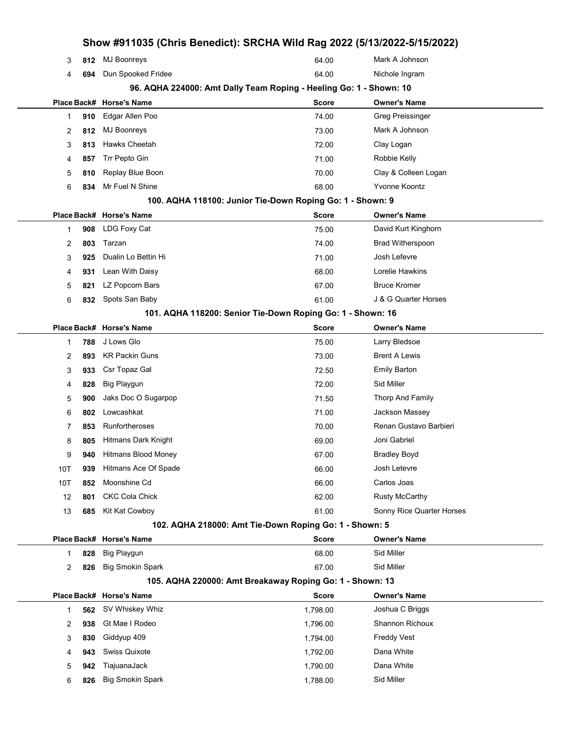| Show #911035 (Chris Benedict): SRCHA Wild Rag 2022 (5/13/2022-5/15/2022) |     |                          |                                                                    |                           |  |
|--------------------------------------------------------------------------|-----|--------------------------|--------------------------------------------------------------------|---------------------------|--|
| 3                                                                        | 812 | <b>MJ Boonreys</b>       | 64.00                                                              | Mark A Johnson            |  |
| 4                                                                        | 694 | Dun Spooked Fridee       | 64.00                                                              | Nichole Ingram            |  |
|                                                                          |     |                          | 96. AQHA 224000: Amt Dally Team Roping - Heeling Go: 1 - Shown: 10 |                           |  |
|                                                                          |     | Place Back# Horse's Name | <b>Score</b>                                                       | <b>Owner's Name</b>       |  |
| 1                                                                        | 910 | Edgar Allen Poo          | 74.00                                                              | <b>Greg Preissinger</b>   |  |
| 2                                                                        | 812 | <b>MJ Boonreys</b>       | 73.00                                                              | Mark A Johnson            |  |
| 3                                                                        | 813 | Hawks Cheetah            | 72.00                                                              | Clay Logan                |  |
| 4                                                                        | 857 | Trr Pepto Gin            | 71.00                                                              | Robbie Kelly              |  |
| 5                                                                        | 810 | Replay Blue Boon         | 70.00                                                              | Clay & Colleen Logan      |  |
| 6                                                                        | 834 | Mr Fuel N Shine          | 68.00                                                              | Yvonne Koontz             |  |
|                                                                          |     |                          | 100. AQHA 118100: Junior Tie-Down Roping Go: 1 - Shown: 9          |                           |  |
|                                                                          |     | Place Back# Horse's Name | <b>Score</b>                                                       | <b>Owner's Name</b>       |  |
| 1                                                                        | 908 | LDG Foxy Cat             | 75.00                                                              | David Kurt Kinghorn       |  |
| 2                                                                        | 803 | Tarzan                   | 74.00                                                              | <b>Brad Witherspoon</b>   |  |
| 3                                                                        | 925 | Dualin Lo Bettin Hi      | 71.00                                                              | Josh Lefevre              |  |
| 4                                                                        | 931 | Lean With Daisy          | 68.00                                                              | Lorelie Hawkins           |  |
| 5                                                                        | 821 | LZ Popcorn Bars          | 67.00                                                              | <b>Bruce Kromer</b>       |  |
| 6                                                                        | 832 | Spots San Baby           | 61.00                                                              | J & G Quarter Horses      |  |
|                                                                          |     |                          | 101. AQHA 118200: Senior Tie-Down Roping Go: 1 - Shown: 16         |                           |  |
|                                                                          |     | Place Back# Horse's Name | Score                                                              | <b>Owner's Name</b>       |  |
| 1                                                                        | 788 | J Lows Glo               | 75.00                                                              | Larry Bledsoe             |  |
| 2                                                                        | 893 | <b>KR Packin Guns</b>    | 73.00                                                              | <b>Brent A Lewis</b>      |  |
| 3                                                                        | 933 | Csr Topaz Gal            | 72.50                                                              | <b>Emily Barton</b>       |  |
| 4                                                                        | 828 | Big Playgun              | 72.00                                                              | Sid Miller                |  |
| 5                                                                        | 900 | Jaks Doc O Sugarpop      | 71.50                                                              | Thorp And Family          |  |
| 6                                                                        | 802 | Lowcashkat               | 71.00                                                              | Jackson Massey            |  |
| 7                                                                        | 853 | Runfortheroses           | 70.00                                                              | Renan Gustavo Barbieri    |  |
| 8                                                                        | 805 | Hitmans Dark Knight      | 69.00                                                              | Joni Gabriel              |  |
| 9                                                                        | 940 | Hitmans Blood Money      | 67.00                                                              | <b>Bradley Boyd</b>       |  |
| 10T                                                                      | 939 | Hitmans Ace Of Spade     | 66.00                                                              | Josh Letevre              |  |
| 10T                                                                      | 852 | Moonshine Cd             | 66.00                                                              | Carlos Joas               |  |
| 12                                                                       | 801 | <b>CKC Cola Chick</b>    | 62.00                                                              | <b>Rusty McCarthy</b>     |  |
| 13                                                                       | 685 | Kit Kat Cowboy           | 61.00                                                              | Sonny Rice Quarter Horses |  |
|                                                                          |     |                          | 102. AQHA 218000: Amt Tie-Down Roping Go: 1 - Shown: 5             |                           |  |
|                                                                          |     | Place Back# Horse's Name | <b>Score</b>                                                       | <b>Owner's Name</b>       |  |
| 1                                                                        | 828 | Big Playgun              | 68.00                                                              | Sid Miller                |  |
| 2                                                                        | 826 | <b>Big Smokin Spark</b>  | 67.00                                                              | Sid Miller                |  |
|                                                                          |     |                          | 105. AQHA 220000: Amt Breakaway Roping Go: 1 - Shown: 13           |                           |  |
|                                                                          |     | Place Back# Horse's Name | <b>Score</b>                                                       | <b>Owner's Name</b>       |  |
| 1                                                                        | 562 | SV Whiskey Whiz          | 1,798.00                                                           | Joshua C Briggs           |  |
| 2                                                                        | 938 | Gt Mae I Rodeo           | 1,796.00                                                           | <b>Shannon Richoux</b>    |  |
| 3                                                                        | 830 | Giddyup 409              | 1,794.00                                                           | <b>Freddy Vest</b>        |  |
| 4                                                                        | 943 | Swiss Quixote            | 1,792.00                                                           | Dana White                |  |
| 5                                                                        | 942 | TiajuanaJack             | 1,790.00                                                           | Dana White                |  |
| 6                                                                        | 826 | <b>Big Smokin Spark</b>  | 1,788.00                                                           | Sid Miller                |  |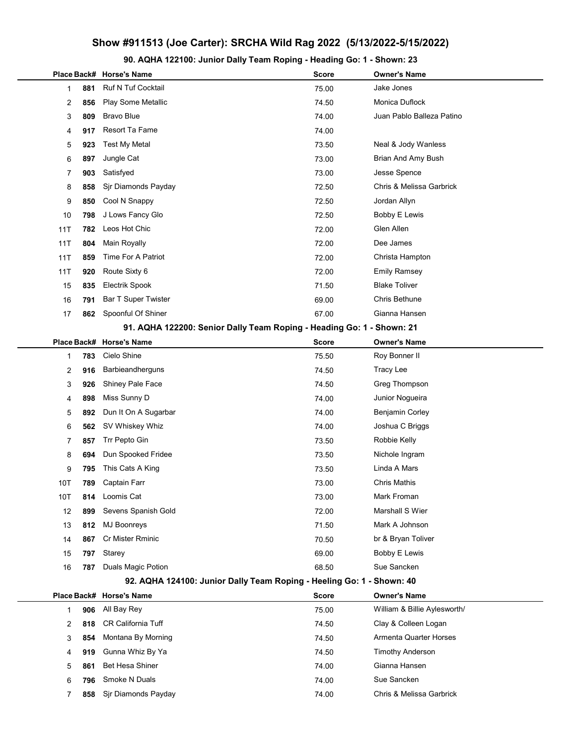## Show #911513 (Joe Carter): SRCHA Wild Rag 2022 (5/13/2022-5/15/2022)

90. AQHA 122100: Junior Dally Team Roping - Heading Go: 1 - Shown: 23

|                                                                       |    |     | Place Back# Horse's Name                                              | <b>Score</b> | <b>Owner's Name</b>           |  |  |
|-----------------------------------------------------------------------|----|-----|-----------------------------------------------------------------------|--------------|-------------------------------|--|--|
|                                                                       | 1  | 881 | <b>Ruf N Tuf Cocktail</b>                                             | 75.00        | Jake Jones                    |  |  |
|                                                                       | 2  | 856 | Play Some Metallic                                                    | 74.50        | Monica Duflock                |  |  |
|                                                                       | 3  | 809 | <b>Bravo Blue</b>                                                     | 74.00        | Juan Pablo Balleza Patino     |  |  |
|                                                                       | 4  | 917 | Resort Ta Fame                                                        | 74.00        |                               |  |  |
|                                                                       | 5  | 923 | <b>Test My Metal</b>                                                  | 73.50        | Neal & Jody Wanless           |  |  |
|                                                                       | 6  | 897 | Jungle Cat                                                            | 73.00        | Brian And Amy Bush            |  |  |
|                                                                       | 7  | 903 | Satisfyed                                                             | 73.00        | Jesse Spence                  |  |  |
|                                                                       | 8  | 858 | Sjr Diamonds Payday                                                   | 72.50        | Chris & Melissa Garbrick      |  |  |
|                                                                       | 9  | 850 | Cool N Snappy                                                         | 72.50        | Jordan Allyn                  |  |  |
| 10                                                                    |    | 798 | J Lows Fancy Glo                                                      | 72.50        | <b>Bobby E Lewis</b>          |  |  |
| 11T                                                                   |    | 782 | Leos Hot Chic                                                         | 72.00        | Glen Allen                    |  |  |
| 11T                                                                   |    | 804 | Main Royally                                                          | 72.00        | Dee James                     |  |  |
| 11T                                                                   |    | 859 | Time For A Patriot                                                    | 72.00        | Christa Hampton               |  |  |
| 11T                                                                   |    | 920 | Route Sixty 6                                                         | 72.00        | <b>Emily Ramsey</b>           |  |  |
| 15                                                                    |    | 835 | <b>Electrik Spook</b>                                                 | 71.50        | <b>Blake Toliver</b>          |  |  |
| 16                                                                    |    | 791 | <b>Bar T Super Twister</b>                                            | 69.00        | Chris Bethune                 |  |  |
| 17                                                                    |    | 862 | Spoonful Of Shiner                                                    | 67.00        | Gianna Hansen                 |  |  |
|                                                                       |    |     | 91. AQHA 122200: Senior Dally Team Roping - Heading Go: 1 - Shown: 21 |              |                               |  |  |
|                                                                       |    |     | Place Back# Horse's Name                                              | <b>Score</b> | <b>Owner's Name</b>           |  |  |
|                                                                       | 1  | 783 | Cielo Shine                                                           | 75.50        | Roy Bonner II                 |  |  |
|                                                                       | 2  | 916 | Barbieandherguns                                                      | 74.50        | <b>Tracy Lee</b>              |  |  |
|                                                                       | 3  | 926 | Shiney Pale Face                                                      | 74.50        | Greg Thompson                 |  |  |
|                                                                       | 4  | 898 | Miss Sunny D                                                          | 74.00        | Junior Nogueira               |  |  |
|                                                                       | 5  | 892 | Dun It On A Sugarbar                                                  | 74.00        | <b>Benjamin Corley</b>        |  |  |
|                                                                       | 6  | 562 | SV Whiskey Whiz                                                       | 74.00        | Joshua C Briggs               |  |  |
|                                                                       | 7  | 857 | Trr Pepto Gin                                                         | 73.50        | Robbie Kelly                  |  |  |
|                                                                       | 8  | 694 | Dun Spooked Fridee                                                    | 73.50        | Nichole Ingram                |  |  |
|                                                                       | 9  | 795 | This Cats A King                                                      | 73.50        | Linda A Mars                  |  |  |
| 10T                                                                   |    | 789 | Captain Farr                                                          | 73.00        | <b>Chris Mathis</b>           |  |  |
| 10T                                                                   |    | 814 | Loomis Cat                                                            | 73.00        | Mark Froman                   |  |  |
|                                                                       | 12 | 899 | Sevens Spanish Gold                                                   | 72.00        | Marshall S Wier               |  |  |
| 13                                                                    |    | 812 | <b>MJ Boonreys</b>                                                    | 71.50        | Mark A Johnson                |  |  |
|                                                                       | 14 | 867 | Cr Mister Rminic                                                      | 70.50        | br & Bryan Toliver            |  |  |
| 15                                                                    |    | 797 | Starey                                                                | 69.00        | <b>Bobby E Lewis</b>          |  |  |
|                                                                       | 16 | 787 | Duals Magic Potion                                                    | 68.50        | Sue Sancken                   |  |  |
| 92. AQHA 124100: Junior Dally Team Roping - Heeling Go: 1 - Shown: 40 |    |     |                                                                       |              |                               |  |  |
|                                                                       |    |     | Place Back# Horse's Name                                              | <b>Score</b> | <b>Owner's Name</b>           |  |  |
|                                                                       | 1  | 906 | All Bay Rey                                                           | 75.00        | William & Billie Aylesworth/  |  |  |
|                                                                       | 2  | 818 | <b>CR California Tuff</b>                                             | 74.50        | Clay & Colleen Logan          |  |  |
|                                                                       | 3  | 854 | Montana By Morning                                                    | 74.50        | <b>Armenta Quarter Horses</b> |  |  |
|                                                                       | 4  | 919 | Gunna Whiz By Ya                                                      | 74.50        | <b>Timothy Anderson</b>       |  |  |
|                                                                       | 5  | 861 | <b>Bet Hesa Shiner</b>                                                | 74.00        | Gianna Hansen                 |  |  |
|                                                                       | 6  | 796 | Smoke N Duals                                                         | 74.00        | Sue Sancken                   |  |  |
|                                                                       | 7  | 858 | Sjr Diamonds Payday                                                   | 74.00        | Chris & Melissa Garbrick      |  |  |
|                                                                       |    |     |                                                                       |              |                               |  |  |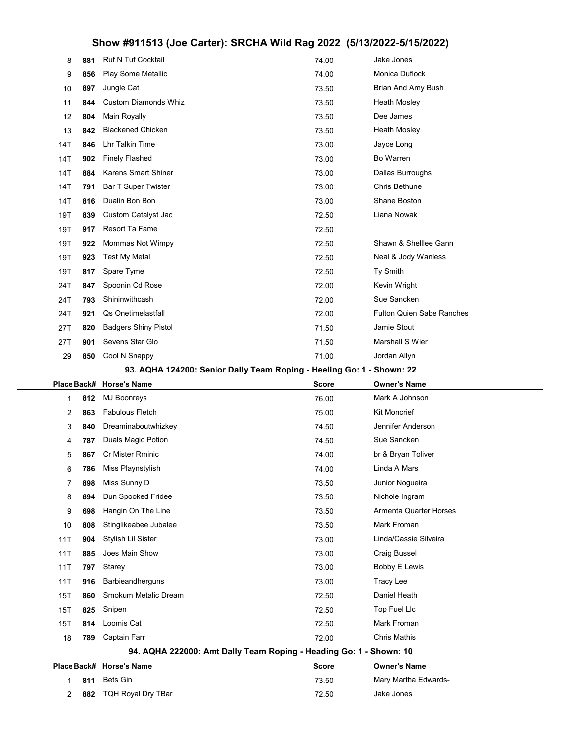## Show #911513 (Joe Carter): SRCHA Wild Rag 2022 (5/13/2022-5/15/2022)

| 8            | 881 | Ruf N Tuf Cocktail                                                    | 74.00        | Jake Jones                       |  |  |  |  |  |
|--------------|-----|-----------------------------------------------------------------------|--------------|----------------------------------|--|--|--|--|--|
| 9            | 856 | Play Some Metallic                                                    | 74.00        | Monica Duflock                   |  |  |  |  |  |
| 10           | 897 | Jungle Cat                                                            | 73.50        | Brian And Amy Bush               |  |  |  |  |  |
| 11           | 844 | <b>Custom Diamonds Whiz</b>                                           | 73.50        | <b>Heath Mosley</b>              |  |  |  |  |  |
| 12           | 804 | Main Royally                                                          | 73.50        | Dee James                        |  |  |  |  |  |
| 13           | 842 | <b>Blackened Chicken</b>                                              | 73.50        | <b>Heath Mosley</b>              |  |  |  |  |  |
| 14T          | 846 | Lhr Talkin Time                                                       | 73.00        | Jayce Long                       |  |  |  |  |  |
| 14T          | 902 | <b>Finely Flashed</b>                                                 | 73.00        | Bo Warren                        |  |  |  |  |  |
| 14T          | 884 | Karens Smart Shiner                                                   | 73.00        | Dallas Burroughs                 |  |  |  |  |  |
| 14T          | 791 | Bar T Super Twister                                                   | 73.00        | Chris Bethune                    |  |  |  |  |  |
| 14T          | 816 | Dualin Bon Bon                                                        | 73.00        | <b>Shane Boston</b>              |  |  |  |  |  |
| 19T          | 839 | Custom Catalyst Jac                                                   | 72.50        | Liana Nowak                      |  |  |  |  |  |
| 19T          | 917 | Resort Ta Fame                                                        | 72.50        |                                  |  |  |  |  |  |
| 19T          | 922 | Mommas Not Wimpy                                                      | 72.50        | Shawn & Shelllee Gann            |  |  |  |  |  |
| 19T          | 923 | <b>Test My Metal</b>                                                  | 72.50        | Neal & Jody Wanless              |  |  |  |  |  |
| 19T          | 817 | Spare Tyme                                                            | 72.50        | Ty Smith                         |  |  |  |  |  |
| 24T          | 847 | Spoonin Cd Rose                                                       | 72.00        | Kevin Wright                     |  |  |  |  |  |
| 24T          | 793 | Shininwithcash                                                        | 72.00        | Sue Sancken                      |  |  |  |  |  |
| 24T          | 921 | <b>Qs Onetimelastfall</b>                                             | 72.00        | <b>Fulton Quien Sabe Ranches</b> |  |  |  |  |  |
| 27T          | 820 | <b>Badgers Shiny Pistol</b>                                           | 71.50        | Jamie Stout                      |  |  |  |  |  |
| 27T          | 901 | Sevens Star Glo                                                       | 71.50        | Marshall S Wier                  |  |  |  |  |  |
| 29           | 850 | Cool N Snappy                                                         | 71.00        | Jordan Allyn                     |  |  |  |  |  |
|              |     | 93. AQHA 124200: Senior Dally Team Roping - Heeling Go: 1 - Shown: 22 |              |                                  |  |  |  |  |  |
|              |     |                                                                       |              |                                  |  |  |  |  |  |
| Place Back#  |     | <b>Horse's Name</b>                                                   | <b>Score</b> | <b>Owner's Name</b>              |  |  |  |  |  |
| 1            | 812 | MJ Boonreys                                                           | 76.00        | Mark A Johnson                   |  |  |  |  |  |
| 2            | 863 | <b>Fabulous Fletch</b>                                                | 75.00        | Kit Moncrief                     |  |  |  |  |  |
| 3            | 840 | Dreaminaboutwhizkey                                                   | 74.50        | Jennifer Anderson                |  |  |  |  |  |
| 4            | 787 | Duals Magic Potion                                                    | 74.50        | Sue Sancken                      |  |  |  |  |  |
| 5            | 867 | Cr Mister Rminic                                                      | 74.00        | br & Bryan Toliver               |  |  |  |  |  |
| 6            | 786 | Miss Playnstylish                                                     | 74.00        | Linda A Mars                     |  |  |  |  |  |
| 7            | 898 | Miss Sunny D                                                          | 73.50        | Junior Noqueira                  |  |  |  |  |  |
| 8            | 694 | Dun Spooked Fridee                                                    | 73.50        | Nichole Ingram                   |  |  |  |  |  |
| 9            | 698 | Hangin On The Line                                                    | 73.50        | <b>Armenta Quarter Horses</b>    |  |  |  |  |  |
| 10           | 808 | Stinglikeabee Jubalee                                                 | 73.50        | Mark Froman                      |  |  |  |  |  |
| 11T          | 904 | Stylish Lil Sister                                                    | 73.00        | Linda/Cassie Silveira            |  |  |  |  |  |
| 11T          | 885 | Joes Main Show                                                        | 73.00        | Craig Bussel                     |  |  |  |  |  |
| 11T          | 797 | Starey                                                                | 73.00        | <b>Bobby E Lewis</b>             |  |  |  |  |  |
| 11T          | 916 | Barbieandherguns                                                      | 73.00        | <b>Tracy Lee</b>                 |  |  |  |  |  |
| 15T          | 860 | Smokum Metalic Dream                                                  | 72.50        | Daniel Heath                     |  |  |  |  |  |
| 15T          | 825 | Snipen                                                                | 72.50        | Top Fuel Llc                     |  |  |  |  |  |
| 15T          | 814 | Loomis Cat                                                            | 72.50        | Mark Froman                      |  |  |  |  |  |
| 18           | 789 | Captain Farr                                                          | 72.00        | <b>Chris Mathis</b>              |  |  |  |  |  |
|              |     | 94. AQHA 222000: Amt Dally Team Roping - Heading Go: 1 - Shown: 10    |              |                                  |  |  |  |  |  |
| Place Back#  |     | <b>Horse's Name</b>                                                   | <b>Score</b> | <b>Owner's Name</b>              |  |  |  |  |  |
| $\mathbf{1}$ | 811 | Bets Gin                                                              | 73.50        | Mary Martha Edwards-             |  |  |  |  |  |